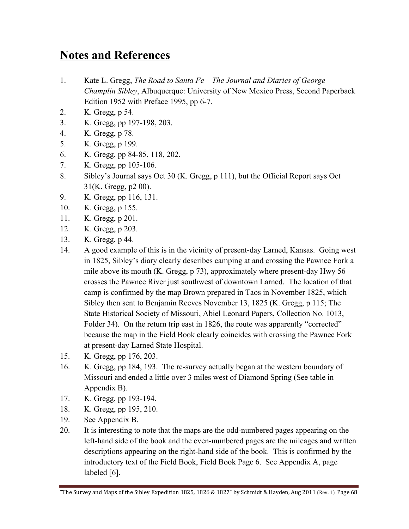## **Notes and References**

- 1. Kate L. Gregg, *The Road to Santa Fe – The Journal and Diaries of George Champlin Sibley*, Albuquerque: University of New Mexico Press, Second Paperback Edition 1952 with Preface 1995, pp 6-7.
- 2. K. Gregg, p 54.
- 3. K. Gregg, pp 197-198, 203.
- 4. K. Gregg, p 78.
- 5. K. Gregg, p 199.
- 6. K. Gregg, pp 84-85, 118, 202.
- 7. K. Gregg, pp 105-106.
- 8. Sibley's Journal says Oct 30 (K. Gregg, p 111), but the Official Report says Oct 31(K. Gregg, p2 00).
- 9. K. Gregg, pp 116, 131.
- 10. K. Gregg, p 155.
- 11. K. Gregg, p 201.
- 12. K. Gregg, p 203.
- 13. K. Gregg, p 44.
- 14. A good example of this is in the vicinity of present-day Larned, Kansas. Going west in 1825, Sibley's diary clearly describes camping at and crossing the Pawnee Fork a mile above its mouth (K. Gregg, p 73), approximately where present-day Hwy 56 crosses the Pawnee River just southwest of downtown Larned. The location of that camp is confirmed by the map Brown prepared in Taos in November 1825, which Sibley then sent to Benjamin Reeves November 13, 1825 (K. Gregg, p 115; The State Historical Society of Missouri, Abiel Leonard Papers, Collection No. 1013, Folder 34). On the return trip east in 1826, the route was apparently "corrected" because the map in the Field Book clearly coincides with crossing the Pawnee Fork at present-day Larned State Hospital.
- 15. K. Gregg, pp 176, 203.
- 16. K. Gregg, pp 184, 193. The re-survey actually began at the western boundary of Missouri and ended a little over 3 miles west of Diamond Spring (See table in Appendix B).
- 17. K. Gregg, pp 193-194.
- 18. K. Gregg, pp 195, 210.
- 19. See Appendix B.
- 20. It is interesting to note that the maps are the odd-numbered pages appearing on the left-hand side of the book and the even-numbered pages are the mileages and written descriptions appearing on the right-hand side of the book. This is confirmed by the introductory text of the Field Book, Field Book Page 6. See Appendix A, page labeled [6].

<sup>&</sup>quot;The Survey and Maps of the Sibley Expedition 1825, 1826 & 1827" by Schmidt & Hayden, Aug 2011 (Rev. 1) Page 68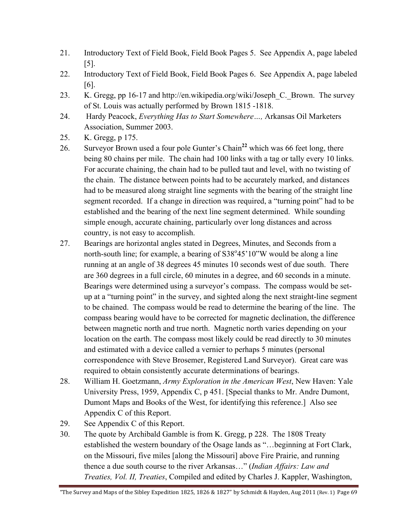- 21. Introductory Text of Field Book, Field Book Pages 5. See Appendix A, page labeled [5].
- 22. Introductory Text of Field Book, Field Book Pages 6. See Appendix A, page labeled [6].
- 23. K. Gregg, pp 16-17 and http://en.wikipedia.org/wiki/Joseph\_C.\_Brown. The survey of St. Louis was actually performed by Brown 1815 -1818.
- 24. Hardy Peacock, *Everything Has to Start Somewhere…,* Arkansas Oil Marketers Association, Summer 2003.
- 25. K. Gregg, p 175.
- 26. Surveyor Brown used a four pole Gunter's Chain**<sup>22</sup>** which was 66 feet long, there being 80 chains per mile. The chain had 100 links with a tag or tally every 10 links. For accurate chaining, the chain had to be pulled taut and level, with no twisting of the chain. The distance between points had to be accurately marked, and distances had to be measured along straight line segments with the bearing of the straight line segment recorded. If a change in direction was required, a "turning point" had to be established and the bearing of the next line segment determined. While sounding simple enough, accurate chaining, particularly over long distances and across country, is not easy to accomplish.
- 27. Bearings are horizontal angles stated in Degrees, Minutes, and Seconds from a north-south line; for example, a bearing of S38°45'10"W would be along a line running at an angle of 38 degrees 45 minutes 10 seconds west of due south. There are 360 degrees in a full circle, 60 minutes in a degree, and 60 seconds in a minute. Bearings were determined using a surveyor's compass. The compass would be setup at a "turning point" in the survey, and sighted along the next straight-line segment to be chained. The compass would be read to determine the bearing of the line. The compass bearing would have to be corrected for magnetic declination, the difference between magnetic north and true north. Magnetic north varies depending on your location on the earth. The compass most likely could be read directly to 30 minutes and estimated with a device called a vernier to perhaps 5 minutes (personal correspondence with Steve Brosemer, Registered Land Surveyor). Great care was required to obtain consistently accurate determinations of bearings.
- 28. William H. Goetzmann, *Army Exploration in the American West*, New Haven: Yale University Press, 1959, Appendix C, p 451. [Special thanks to Mr. Andre Dumont, Dumont Maps and Books of the West, for identifying this reference.] Also see Appendix C of this Report.
- 29. See Appendix C of this Report.
- 30. The quote by Archibald Gamble is from K. Gregg, p 228. The 1808 Treaty established the western boundary of the Osage lands as "…beginning at Fort Clark, on the Missouri, five miles [along the Missouri] above Fire Prairie, and running thence a due south course to the river Arkansas…" (*Indian Affairs: Law and Treaties, Vol. II, Treaties*, Compiled and edited by Charles J. Kappler, Washington,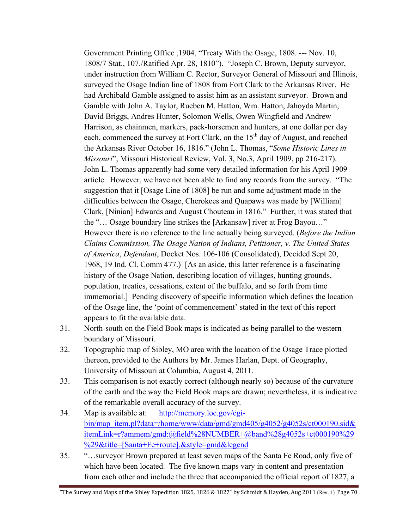Government Printing Office ,1904, "Treaty With the Osage, 1808. --- Nov. 10, 1808/7 Stat., 107./Ratified Apr. 28, 1810"). "Joseph C. Brown, Deputy surveyor, under instruction from William C. Rector, Surveyor General of Missouri and Illinois, surveyed the Osage Indian line of 1808 from Fort Clark to the Arkansas River. He had Archibald Gamble assigned to assist him as an assistant surveyor. Brown and Gamble with John A. Taylor, Rueben M. Hatton, Wm. Hatton, Jahoyda Martin, David Briggs, Andres Hunter, Solomon Wells, Owen Wingfield and Andrew Harrison, as chainmen, markers, pack-horsemen and hunters, at one dollar per day each, commenced the survey at Fort Clark, on the  $15<sup>th</sup>$  day of August, and reached the Arkansas River October 16, 1816." (John L. Thomas, "*Some Historic Lines in Missouri*", Missouri Historical Review, Vol. 3, No.3, April 1909, pp 216-217). John L. Thomas apparently had some very detailed information for his April 1909 article. However, we have not been able to find any records from the survey. "The suggestion that it [Osage Line of 1808] be run and some adjustment made in the difficulties between the Osage, Cherokees and Quapaws was made by [William] Clark, [Ninian] Edwards and August Chouteau in 1816." Further, it was stated that the "… Osage boundary line strikes the [Arkansaw] river at Frog Bayou…" However there is no reference to the line actually being surveyed. (*Before the Indian Claims Commission, The Osage Nation of Indians, Petitioner, v. The United States of America*, *Defendant*, Docket Nos. 106-106 (Consolidated), Decided Sept 20, 1968, 19 Ind. Cl. Comm 477.) [As an aside, this latter reference is a fascinating history of the Osage Nation, describing location of villages, hunting grounds, population, treaties, cessations, extent of the buffalo, and so forth from time immemorial.] Pending discovery of specific information which defines the location of the Osage line, the 'point of commencement' stated in the text of this report appears to fit the available data.

- 31. North-south on the Field Book maps is indicated as being parallel to the western boundary of Missouri.
- 32. Topographic map of Sibley, MO area with the location of the Osage Trace plotted thereon, provided to the Authors by Mr. James Harlan, Dept. of Geography, University of Missouri at Columbia, August 4, 2011.
- 33. This comparison is not exactly correct (although nearly so) because of the curvature of the earth and the way the Field Book maps are drawn; nevertheless, it is indicative of the remarkable overall accuracy of the survey.
- 34. Map is available at: http://memory.loc.gov/cgibin/map\_item.pl?data=/home/www/data/gmd/gmd405/g4052/g4052s/ct000190.sid& itemLink=r?ammem/gmd:@field%28NUMBER+@band%28g4052s+ct000190%29 %29&title=[Santa+Fe+route].&style=gmd&legend
- 35. "…surveyor Brown prepared at least seven maps of the Santa Fe Road, only five of which have been located. The five known maps vary in content and presentation from each other and include the three that accompanied the official report of 1827, a

<sup>&</sup>quot;The Survey and Maps of the Sibley Expedition 1825, 1826 & 1827" by Schmidt & Hayden, Aug 2011 (Rev. 1) Page 70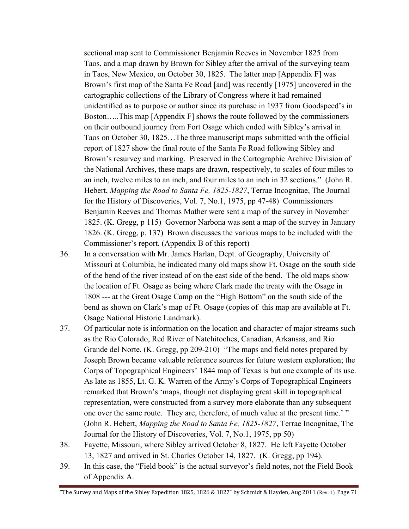sectional map sent to Commissioner Benjamin Reeves in November 1825 from Taos, and a map drawn by Brown for Sibley after the arrival of the surveying team in Taos, New Mexico, on October 30, 1825. The latter map [Appendix F] was Brown's first map of the Santa Fe Road [and] was recently [1975] uncovered in the cartographic collections of the Library of Congress where it had remained unidentified as to purpose or author since its purchase in 1937 from Goodspeed's in Boston…..This map [Appendix F] shows the route followed by the commissioners on their outbound journey from Fort Osage which ended with Sibley's arrival in Taos on October 30, 1825…The three manuscript maps submitted with the official report of 1827 show the final route of the Santa Fe Road following Sibley and Brown's resurvey and marking. Preserved in the Cartographic Archive Division of the National Archives, these maps are drawn, respectively, to scales of four miles to an inch, twelve miles to an inch, and four miles to an inch in 32 sections." (John R. Hebert, *Mapping the Road to Santa Fe, 1825-1827*, Terrae Incognitae, The Journal for the History of Discoveries, Vol. 7, No.1, 1975, pp 47-48) Commissioners Benjamin Reeves and Thomas Mather were sent a map of the survey in November 1825. (K. Gregg, p 115) Governor Narbona was sent a map of the survey in January 1826. (K. Gregg, p. 137) Brown discusses the various maps to be included with the Commissioner's report. (Appendix B of this report)

- 36. In a conversation with Mr. James Harlan, Dept. of Geography, University of Missouri at Columbia, he indicated many old maps show Ft. Osage on the south side of the bend of the river instead of on the east side of the bend. The old maps show the location of Ft. Osage as being where Clark made the treaty with the Osage in 1808 --- at the Great Osage Camp on the "High Bottom" on the south side of the bend as shown on Clark's map of Ft. Osage (copies of this map are available at Ft. Osage National Historic Landmark).
- 37. Of particular note is information on the location and character of major streams such as the Rio Colorado, Red River of Natchitoches, Canadian, Arkansas, and Rio Grande del Norte. (K. Gregg, pp 209-210) "The maps and field notes prepared by Joseph Brown became valuable reference sources for future western exploration; the Corps of Topographical Engineers' 1844 map of Texas is but one example of its use. As late as 1855, Lt. G. K. Warren of the Army's Corps of Topographical Engineers remarked that Brown's 'maps, though not displaying great skill in topographical representation, were constructed from a survey more elaborate than any subsequent one over the same route. They are, therefore, of much value at the present time.' " (John R. Hebert, *Mapping the Road to Santa Fe, 1825-1827*, Terrae Incognitae, The Journal for the History of Discoveries, Vol. 7, No.1, 1975, pp 50)
- 38. Fayette, Missouri, where Sibley arrived October 8, 1827. He left Fayette October 13, 1827 and arrived in St. Charles October 14, 1827. (K. Gregg, pp 194).
- 39. In this case, the "Field book" is the actual surveyor's field notes, not the Field Book of Appendix A.

"The Survey and Maps of the Sibley Expedition 1825, 1826 & 1827" by Schmidt & Hayden, Aug 2011 (Rev. 1) Page 71